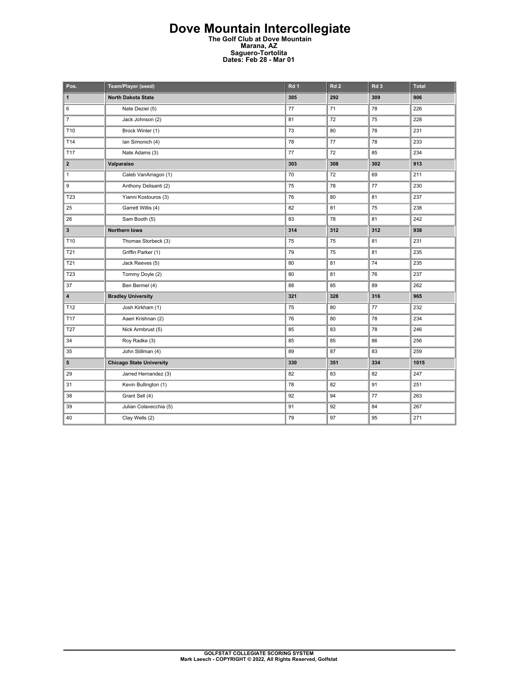## **Dove Mountain Intercollegiate The Golf Club at Dove Mountain Marana, AZ Saguero-Tortolita Dates: Feb 28 - Mar 01**

| Pos.                    | Team/Player (seed)              | Rd <sub>1</sub> | Rd <sub>2</sub> | Rd <sub>3</sub> | <b>Total</b> |
|-------------------------|---------------------------------|-----------------|-----------------|-----------------|--------------|
| $\mathbf{1}$            | <b>North Dakota State</b>       | 305             | 292             | 309             | 906          |
| 6                       | Nate Deziel (5)                 | 77              | 71              | 78              | 226          |
| $\overline{7}$          | Jack Johnson (2)                | 81              | 72              | 75              | 228          |
| T10                     | Brock Winter (1)                | 73              | 80              | 78              | 231          |
| T14                     | Ian Simonich (4)                | 78              | 77              | 78              | 233          |
| <b>T17</b>              | Nate Adams (3)                  | 77              | 72              | 85              | 234          |
| $\mathbf{2}$            | Valparaiso                      | 303             | 308             | 302             | 913          |
| $\mathbf{1}$            | Caleb VanArragon (1)            | 70              | 72              | 69              | 211          |
| 9                       | Anthony Delisanti (2)           | 75              | 78              | 77              | 230          |
| T23                     | Yianni Kostouros (3)            | 76              | 80              | 81              | 237          |
| 25                      | Garrett Willis (4)              | 82              | 81              | 75              | 238          |
| 26                      | Sam Booth (5)                   | 83              | 78              | 81              | 242          |
| $\mathbf{3}$            | Northern Iowa                   | 314             | 312             | 312             | 938          |
| T10                     | Thomas Storbeck (3)             | 75              | 75              | 81              | 231          |
| T21                     | Griffin Parker (1)              | 79              | 75              | 81              | 235          |
| T21                     | Jack Reeves (5)                 | 80              | 81              | 74              | 235          |
| T <sub>23</sub>         | Tommy Doyle (2)                 | 80              | 81              | 76              | 237          |
| 37                      | Ben Bermel (4)                  | 88              | 85              | 89              | 262          |
| $\overline{\mathbf{4}}$ | <b>Bradley University</b>       | 321             | 328             | 316             | 965          |
| T12                     | Josh Kirkham (1)                | 75              | 80              | 77              | 232          |
| T17                     | Aaeri Krishnan (2)              | 76              | 80              | 78              | 234          |
| T <sub>27</sub>         | Nick Armbrust (5)               | 85              | 83              | 78              | 246          |
| 34                      | Roy Radke (3)                   | 85              | 85              | 86              | 256          |
| 35                      | John Stillman (4)               | 89              | 87              | 83              | 259          |
| 5                       | <b>Chicago State University</b> | 330             | 351             | 334             | 1015         |
| 29                      | Jarred Hernandez (3)            | 82              | 83              | 82              | 247          |
| 31                      | Kevin Bullington (1)            | 78              | 82              | 91              | 251          |
| 38                      | Grant Sell (4)                  | 92              | 94              | 77              | 263          |
| 39                      | Julian Colavecchia (5)          | 91              | 92              | 84              | 267          |
| 40                      | Clay Wells (2)                  | 79              | 97              | 95              | 271          |